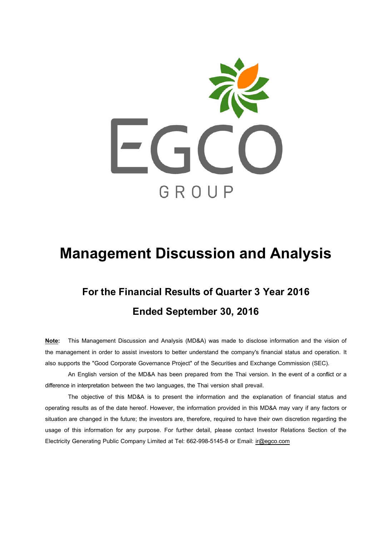

# **Management Discussion and Analysis**

# **For the Financial Resultsof Quarter 3 Year 2016 Ended September 30, 2016**

**Note:** This Management Discussion and Analysis (MD&A) was made to disclose information and the vision of the management in order to assist investors to better understand the company's financial status and operation. It also supports the "Good Corporate Governance Project" of the Securities and Exchange Commission (SEC).

An English version of the MD&A has been prepared from the Thai version. In the event of a conflict or a difference in interpretation between the two languages, the Thai version shall prevail.

The objective of this MD&A is to present the information and the explanation of financial status and operating results as of the date hereof. However, the information provided in this MD&A may vary if any factors or situation are changed in the future; the investors are, therefore, required to have their own discretion regarding the usage of this information for any purpose. For further detail, please contact Investor Relations Section of the Electricity Generating Public Company Limited at Tel: 662-998-5145-8 or Email: [ir@egco.com](mailto:ir@egco.com)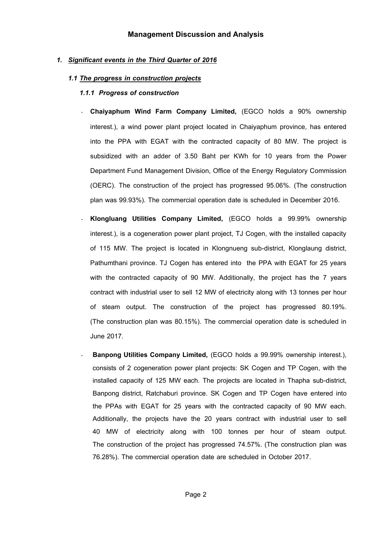## *1. Significant events in the Third Quarter of 2016*

#### *1.1 The progress in construction projects*

#### *1.1.1 Progress of construction*

- **Chaiyaphum Wind Farm Company Limited,** (EGCO holds a 90% ownership interest.), a wind power plant project located in Chaiyaphum province, has entered into the PPA with EGAT with the contracted capacity of 80 MW. The project is subsidized with an adder of 3.50 Baht per KWh for 10 years from the Power Department Fund Management Division, Office of the Energy Regulatory Commission (OERC). The construction of the project has progressed 95.06%. (The construction plan was 99.93%). The commercial operation date is scheduled in December 2016.
- **Klongluang Utilities Company Limited,** (EGCO holds a 99.99% ownership interest.), is a cogeneration power plant project, TJ Cogen, with the installed capacity of 115 MW. The project is located in Klongnueng sub-district, Klonglaung district, Pathumthani province. TJ Cogen has entered into the PPA with EGAT for 25 years with the contracted capacity of 90 MW. Additionally, the project has the 7 years contract with industrial user to sell 12 MW of electricity along with 13 tonnes per hour of steam output. The construction of the project has progressed 80.19%. (The construction plan was 80.15%). The commercial operation date is scheduled in June 2017.
- **Banpong Utilities Company Limited,** (EGCO holds a 99.99% ownership interest.), consists of 2 cogeneration power plant projects: SK Cogen and TP Cogen, with the installed capacity of 125 MW each. The projects are located in Thapha sub-district, Banpong district, Ratchaburi province. SK Cogen and TP Cogen have entered into the PPAs with EGAT for 25 years with the contracted capacity of 90 MW each. Additionally, the projects have the 20 years contract with industrial user to sell 40 MW of electricity along with 100 tonnes per hour of steam output. The construction of the project has progressed 74.57%. (The construction plan was 76.28%). The commercial operation date are scheduled in October 2017.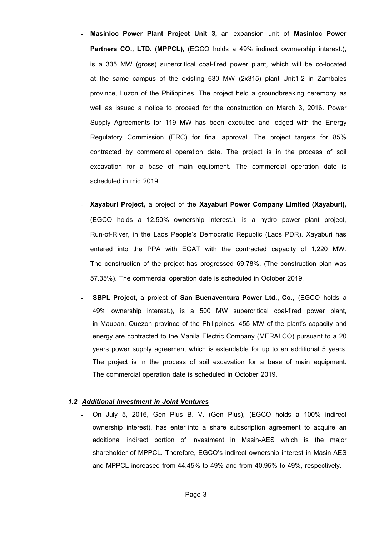- **Masinloc Power Plant Project Unit 3,** an expansion unit of **Masinloc Power**  Partners CO., LTD. (MPPCL), (EGCO holds a 49% indirect ownnership interest.), is a 335 MW (gross) supercritical coal-fired power plant, which will be co-located at the same campus of the existing 630 MW (2x315) plant Unit1-2 in Zambales province, Luzon of the Philippines. The project held a groundbreaking ceremony as well as issued a notice to proceed for the construction on March 3, 2016. Power Supply Agreements for 119 MW has been executed and lodged with the Energy Regulatory Commission (ERC) for final approval. The project targets for 85% contracted by commercial operation date. The project is in the process of soil excavation for a base of main equipment. The commercial operation date is scheduled in mid 2019.
- **Xayaburi Project,** a project of the **Xayaburi Power Company Limited (Xayaburi),** (EGCO holds a 12.50% ownership interest.), is a hydro power plant project, Run-of-River, in the Laos People's Democratic Republic (Laos PDR). Xayaburi has entered into the PPA with EGAT with the contracted capacity of 1,220 MW. The construction of the project has progressed 69.78%. (The construction plan was 57.35%). The commercial operation date is scheduled in October 2019.
- **SBPL Project,** a project of **San Buenaventura Power Ltd., Co.**, (EGCO holds a 49% ownership interest.), is a 500 MW supercritical coal-fired power plant, in Mauban, Quezon province of the Philippines. 455 MW of the plant's capacity and energy are contracted to the Manila Electric Company (MERALCO) pursuant to a 20 years power supply agreement which is extendable for up to an additional 5 years. The project is in the process of soil excavation for a base of main equipment. The commercial operation date is scheduled in October 2019.

#### *1.2 Additional Investment in Joint Ventures*

- On July 5, 2016, Gen Plus B. V. (Gen Plus), (EGCO holds a 100% indirect ownership interest), has enter into a share subscription agreement to acquire an additional indirect portion of investment in Masin-AES which is the major shareholder of MPPCL. Therefore, EGCO's indirect ownership interest in Masin-AES and MPPCL increased from 44.45% to 49% and from 40.95% to 49%, respectively.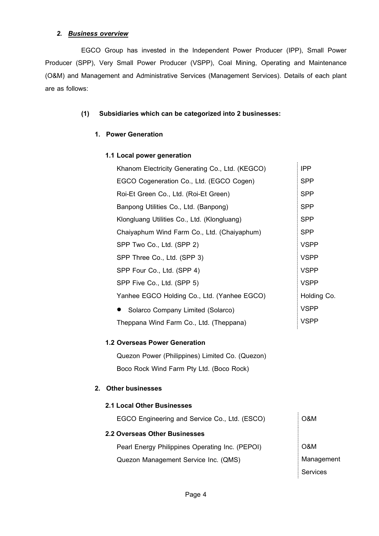## *2. Business overview*

EGCO Group has invested in the Independent Power Producer (IPP), Small Power Producer (SPP), Very Small Power Producer (VSPP), Coal Mining, Operating and Maintenance (O&M) and Management and Administrative Services (Management Services). Details of each plant are as follows:

## **(1) Subsidiaries which can be categorized into 2 businesses:**

### **1. Power Generation**

#### **1.1 Local power generation** Khanom Electricity Generating Co., Ltd. (KEGCO) IPP EGCO Cogeneration Co., Ltd. (EGCO Cogen) SPP Roi-Et Green Co., Ltd. (Roi-Et Green) Banpong Utilities Co., Ltd. (Banpong) Klongluang Utilities Co., Ltd. (Klongluang) Chaiyaphum Wind Farm Co., Ltd. (Chaiyaphum) SPP Two Co., Ltd. (SPP 2) SPP Three Co., Ltd. (SPP 3) SPP Four Co., Ltd. (SPP 4) SPP Five Co., Ltd. (SPP 5) Yanhee EGCO Holding Co., Ltd. (Yanhee EGCO) ● Solarco Company Limited (Solarco) Theppana Wind Farm Co., Ltd. (Theppana) SPP SPP SPP SPP VSPP VSPP VSPP VSPP Holding Co. VSPP VSPP

### **1.2 Overseas Power Generation**

Quezon Power (Philippines) Limited Co. (Quezon) Boco Rock Wind Farm Pty Ltd. (Boco Rock)

### **2. Other businesses**

| 2.1 Local Other Businesses                      |            |
|-------------------------------------------------|------------|
| EGCO Engineering and Service Co., Ltd. (ESCO)   | O&M        |
| 2.2 Overseas Other Businesses                   |            |
| Pearl Energy Philippines Operating Inc. (PEPOI) | O&M        |
| Quezon Management Service Inc. (QMS)            | Management |
|                                                 | Services   |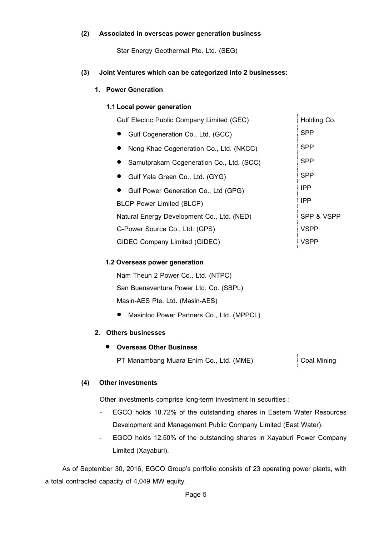### **(2) Associated in overseaspower generation business**

Star Energy Geothermal Pte. Ltd. (SEG)

## **(3) Joint Ventures which can be categorized into 2 businesses:**

### **1. Power Generation**

#### **1.1Local power generation**

| Gulf Electric Public Company Limited (GEC) | Holding Co. |
|--------------------------------------------|-------------|
| Gulf Cogeneration Co., Ltd. (GCC)          | SPP         |
| Nong Khae Cogeneration Co., Ltd. (NKCC)    | SPP         |
| Samutprakarn Cogeneration Co., Ltd. (SCC)  | SPP         |
| Gulf Yala Green Co., Ltd. (GYG)            | SPP         |
| Gulf Power Generation Co., Ltd (GPG)       | <b>IPP</b>  |
| <b>BLCP Power Limited (BLCP)</b>           | <b>IPP</b>  |
| Natural Energy Development Co., Ltd. (NED) | SPP & VSPP  |
| G-Power Source Co., Ltd. (GPS)             | <b>VSPP</b> |
| GIDEC Company Limited (GIDEC)              | VSPP        |
|                                            |             |

#### **1.2 Overseas power generation**

Nam Theun 2 Power Co., Ltd. (NTPC) San Buenaventura Power Ltd. Co. (SBPL) Masin-AES Pte. Ltd. (Masin-AES)

Masinloc Power Partners Co., Ltd. (MPPCL)

### **2. Others businesses**

### **Overseas Other Business**

PT Manambang Muara Enim Co., Ltd. (MME) Coal Mining

### **(4) Other investments**

Other investments comprise long-term investment in securities :

- EGCO holds 18.72% of the outstanding shares in Eastern Water Resources Development and Management Public Company Limited (East Water).
- *-* EGCO holds 12.50% of the outstanding shares in Xayaburi Power Company Limited (Xayaburi).

As of September 30, 2016, EGCO Group's portfolio consists of 23 operating power plants, with a total contracted capacity of 4,049 MW equity.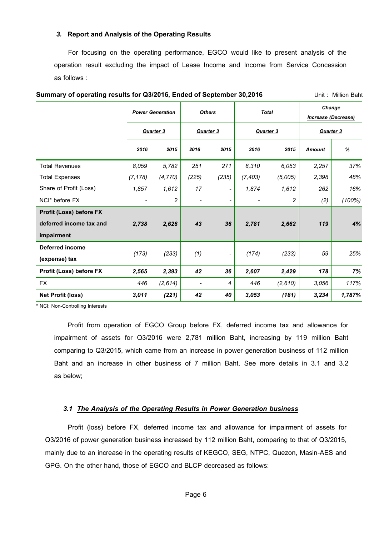### *3.* **Report and Analysis of the Operating Results**

For focusing on the operating performance, EGCO would like to present analysis of the operation result excluding the impact of Lease Income and Income from Service Concession as follows :

**Summary of operating results for Q3/2016, Ended of September 30,2016 Digited September** Unit : Million Baht

|                          | <b>Power Generation</b> |                | <b>Others</b> |                          | <b>Total</b> |                | <b>Change</b><br>Increase (Decrease) |        |
|--------------------------|-------------------------|----------------|---------------|--------------------------|--------------|----------------|--------------------------------------|--------|
|                          |                         | Quarter 3      |               | Quarter 3                |              | Quarter 3      | Quarter 3                            |        |
|                          | 2016                    | 2015           | 2016          | 2015                     | 2016         | 2015           | <b>Amount</b>                        | %      |
| <b>Total Revenues</b>    | 8,059                   | 5,782          | 251           | 271                      | 8,310        | 6,053          | 2,257                                | 37%    |
| <b>Total Expenses</b>    | (7, 178)                | (4, 770)       | (225)         | (235)                    | (7, 403)     | (5,005)        | 2,398                                | 48%    |
| Share of Profit (Loss)   | 1,857                   | 1,612          | 17            | $\overline{\phantom{a}}$ | 1,874        | 1,612          | 262                                  | 16%    |
| NCI* before FX           |                         | $\overline{2}$ |               | $\overline{\phantom{a}}$ |              | $\overline{c}$ | (2)                                  | (100%) |
| Profit (Loss) before FX  |                         |                |               |                          |              |                |                                      |        |
| deferred income tax and  | 2,738                   | 2,626          | 43            | 36                       | 2,781        | 2,662          | 119                                  | 4%     |
| impairment               |                         |                |               |                          |              |                |                                      |        |
| <b>Deferred income</b>   |                         |                |               |                          |              |                |                                      | 25%    |
| (expense) tax            | (173)                   |                | (233)<br>(1)  | $\overline{\phantom{a}}$ |              | (233)<br>(174) | 59                                   |        |
| Profit (Loss) before FX  | 2,565                   | 2,393          | 42            | 36                       | 2,607        | 2,429          | 178                                  | 7%     |
| <b>FX</b>                | 446                     | (2,614)        |               | 4                        | 446          | (2,610)        | 3,056                                | 117%   |
| <b>Net Profit (loss)</b> | 3,011                   | (221)          | 42            | 40                       | 3,053        | (181)          | 3,234                                | 1,787% |

\* NCI: Non-Controlling Interests

Profit from operation of EGCO Group before FX, deferred income tax and allowance for impairment of assets for Q3/2016 were 2,781 million Baht, increasing by 119 million Baht comparing to Q3/2015, which came from an increase in power generation business of 112 million Baht and an increase in other business of 7 million Baht. See more details in 3.1 and 3.2 as below;

#### *3.1 The Analysis of the Operating Results in Power Generation business*

 Profit (loss) before FX, deferred income tax and allowance for impairment of assets for Q3/2016 of power generation business increased by 112 million Baht, comparing to that of Q3/2015, mainly due to an increase in the operating results of KEGCO, SEG, NTPC, Quezon, Masin-AES and GPG. On the other hand, those of EGCO and BLCP decreased as follows: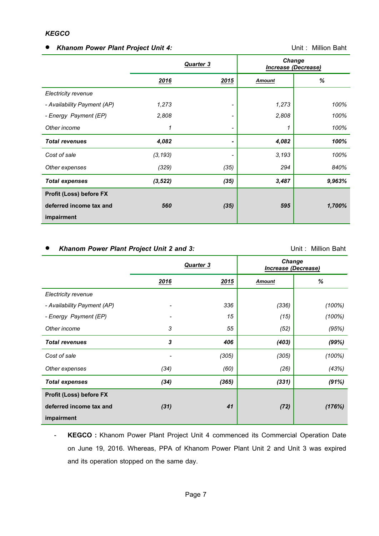## *KEGCO*

## *Khanom Power Plant Project Unit 4:* Unit : Million Baht

|                             | <b>Quarter 3</b> |      | <b>Change</b><br><b>Increase (Decrease)</b> |        |
|-----------------------------|------------------|------|---------------------------------------------|--------|
|                             | 2016             | 2015 | Amount                                      | %      |
| Electricity revenue         |                  |      |                                             |        |
| - Availability Payment (AP) | 1,273            | ٠    | 1,273                                       | 100%   |
| - Energy Payment (EP)       | 2,808            | ۰    | 2,808                                       | 100%   |
| Other income                | 1                | ۰    | 1                                           | 100%   |
| <b>Total revenues</b>       | 4,082            | ٠    | 4,082                                       | 100%   |
| Cost of sale                | (3, 193)         |      | 3,193                                       | 100%   |
| Other expenses              | (329)            | (35) | 294                                         | 840%   |
| <b>Total expenses</b>       | (3, 522)         | (35) | 3,487                                       | 9,963% |
| Profit (Loss) before FX     |                  |      |                                             |        |
| deferred income tax and     | 560              | (35) | 595                                         | 1,700% |
| impairment                  |                  |      |                                             |        |

## Khanom Power Plant Project Unit 2 and 3: **Example 2 and 3:** Unit : Million Baht

|                                | <b>Quarter 3</b> |       | <b>Change</b><br>Increase (Decrease) |        |  |
|--------------------------------|------------------|-------|--------------------------------------|--------|--|
|                                | 2016             | 2015  | <b>Amount</b>                        | %      |  |
| Electricity revenue            |                  |       |                                      |        |  |
| - Availability Payment (AP)    | $\overline{a}$   | 336   | (336)                                | (100%) |  |
| - Energy Payment (EP)          |                  | 15    | (15)                                 | (100%) |  |
| Other income                   | 3                | 55    | (52)                                 | (95%)  |  |
| <b>Total revenues</b>          | 3                | 406   | (403)                                | (99%)  |  |
| Cost of sale                   |                  | (305) | (305)                                | (100%) |  |
| Other expenses                 | (34)             | (60)  | (26)                                 | (43%)  |  |
| <b>Total expenses</b>          | (34)             | (365) | (331)                                | (91%)  |  |
| <b>Profit (Loss) before FX</b> |                  |       |                                      |        |  |
| deferred income tax and        | (31)             | 41    | (72)                                 | (176%) |  |
| impairment                     |                  |       |                                      |        |  |

- **KEGCO :** Khanom Power Plant Project Unit 4 commenced its Commercial Operation Date on June 19, 2016. Whereas, PPA of Khanom Power Plant Unit 2 and Unit 3 was expired and its operation stopped on the same day.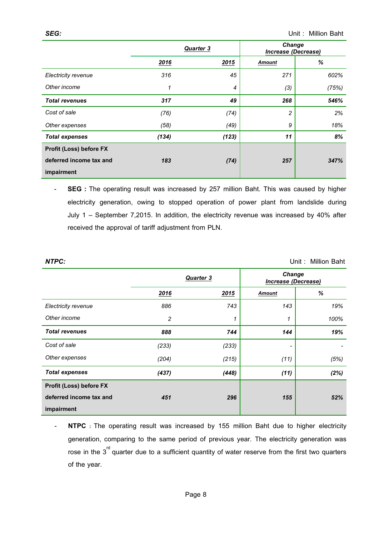|                                | Quarter 3 |       | <b>Change</b><br><b>Increase (Decrease)</b> |       |  |
|--------------------------------|-----------|-------|---------------------------------------------|-------|--|
|                                | 2016      | 2015  | <b>Amount</b>                               | %     |  |
| Electricity revenue            | 316       | 45    | 271                                         | 602%  |  |
| Other income                   | 1         | 4     | (3)                                         | (75%) |  |
| <b>Total revenues</b>          | 317       | 49    | 268                                         | 546%  |  |
| Cost of sale                   | (76)      | (74)  | $\overline{c}$                              | 2%    |  |
| Other expenses                 | (58)      | (49)  | 9                                           | 18%   |  |
| <b>Total expenses</b>          | (134)     | (123) | 11                                          | 8%    |  |
| <b>Profit (Loss) before FX</b> |           |       |                                             |       |  |
| deferred income tax and        | 183       | (74)  | 257                                         | 347%  |  |
| impairment                     |           |       |                                             |       |  |

- **SEG :** The operating result was increased by 257 million Baht. This was caused by higher electricity generation, owing to stopped operation of power plant from landslide during July 1 – September 7,2015. In addition, the electricity revenue was increased by 40% after received the approval of tariff adjustment from PLN.

*NTPC:* Unit : Million Baht

|                         | <b>Quarter 3</b> |       | <b>Change</b><br><b>Increase (Decrease)</b> |      |  |
|-------------------------|------------------|-------|---------------------------------------------|------|--|
|                         | 2016             | 2015  | <b>Amount</b>                               | $\%$ |  |
| Electricity revenue     | 886              | 743   | 143                                         | 19%  |  |
| Other income            | $\overline{c}$   |       | 1                                           | 100% |  |
| <b>Total revenues</b>   | 888              | 744   | 144                                         | 19%  |  |
| Cost of sale            | (233)            | (233) |                                             |      |  |
| Other expenses          | (204)            | (215) | (11)                                        | (5%) |  |
| <b>Total expenses</b>   | (437)            | (448) | (11)                                        | (2%) |  |
| Profit (Loss) before FX |                  |       |                                             |      |  |
| deferred income tax and | 451              | 296   | 155                                         | 52%  |  |
| impairment              |                  |       |                                             |      |  |

<sup>-</sup> **NTPC :** The operating result was increased by 155 million Baht due to higher electricity generation, comparing to the same period of previous year. The electricity generation was rose in the  $3^{\text{rd}}$  quarter due to a sufficient quantity of water reserve from the first two quarters of the year.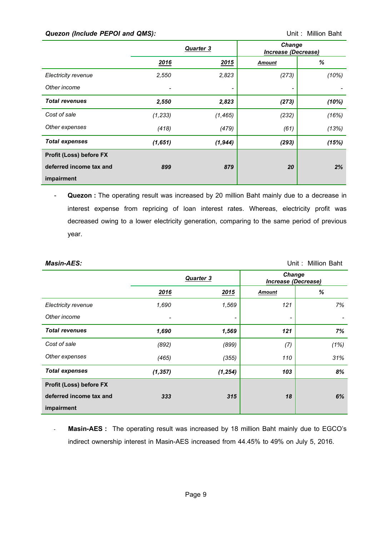## **Quezon (Include PEPOI and QMS): CONSTANDING CONSTANT CONTRACT CONTRACT Unit : Million Baht**

|                                | <b>Quarter 3</b> |          | <b>Change</b><br><b>Increase (Decrease)</b> |       |  |
|--------------------------------|------------------|----------|---------------------------------------------|-------|--|
|                                | 2016             | 2015     | <b>Amount</b>                               | %     |  |
| Electricity revenue            | 2,550            | 2,823    | (273)                                       | (10%) |  |
| Other income                   |                  |          |                                             |       |  |
| <b>Total revenues</b>          | 2,550            | 2,823    | (273)                                       | (10%) |  |
| Cost of sale                   | (1, 233)         | (1, 465) | (232)                                       | (16%) |  |
| Other expenses                 | (418)            | (479)    | (61)                                        | (13%) |  |
| <b>Total expenses</b>          | (1,651)          | (1, 944) | (293)                                       | (15%) |  |
| <b>Profit (Loss) before FX</b> |                  |          |                                             |       |  |
| deferred income tax and        | 899              | 879      | 20                                          | 2%    |  |
| impairment                     |                  |          |                                             |       |  |

- **Quezon :** The operating result was increased by 20 million Baht mainly due to a decrease in interest expense from repricing of loan interest rates. Whereas, electricity profit was decreased owing to a lower electricity generation, comparing to the same period of previous year.

| <b>Masin-AES:</b>              | Unit: Million Baht |                  |                                      |      |  |
|--------------------------------|--------------------|------------------|--------------------------------------|------|--|
|                                |                    | <b>Quarter 3</b> | <b>Change</b><br>Increase (Decrease) |      |  |
|                                | 2016               | 2015             | <b>Amount</b>                        | %    |  |
| Electricity revenue            | 1,690              | 1,569            | 121                                  | 7%   |  |
| Other income                   |                    | -                | $\overline{\phantom{a}}$             |      |  |
| <b>Total revenues</b>          | 1,690              | 1,569            | 121                                  | 7%   |  |
| Cost of sale                   | (892)              | (899)            | (7)                                  | (1%) |  |
| Other expenses                 | (465)              | (355)            | 110                                  | 31%  |  |
| <b>Total expenses</b>          | (1, 357)           | (1, 254)         | 103                                  | 8%   |  |
| <b>Profit (Loss) before FX</b> |                    |                  |                                      |      |  |
| deferred income tax and        | 333                | 315              | 18                                   | 6%   |  |
| impairment                     |                    |                  |                                      |      |  |

- **Masin-AES :** The operating result was increased by 18 million Baht mainly due to EGCO's indirect ownership interest in Masin-AES increased from 44.45% to 49% on July 5, 2016.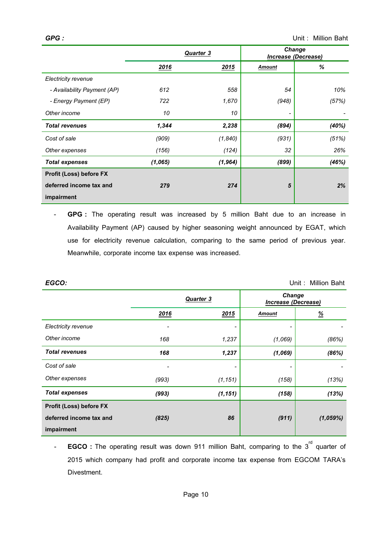|                                | <b>Quarter 3</b> |          |                              | <b>Change</b><br><b>Increase (Decrease)</b> |
|--------------------------------|------------------|----------|------------------------------|---------------------------------------------|
|                                | 2016             | 2015     | Amount                       | %                                           |
| Electricity revenue            |                  |          |                              |                                             |
| - Availability Payment (AP)    | 612              | 558      | 54                           | 10%                                         |
| - Energy Payment (EP)          | 722              | 1,670    | (948)                        | (57%)                                       |
| Other income                   | 10               | 10       | $\qquad \qquad \blacksquare$ |                                             |
| <b>Total revenues</b>          | 1,344            | 2,238    | (894)                        | (40%)                                       |
| Cost of sale                   | (909)            | (1,840)  | (931)                        | (51%)                                       |
| Other expenses                 | (156)            | (124)    | 32                           | 26%                                         |
| <b>Total expenses</b>          | (1,065)          | (1, 964) | (899)                        | (46%)                                       |
| <b>Profit (Loss) before FX</b> |                  |          |                              |                                             |
| deferred income tax and        | 279              | 274      | 5                            | 2%                                          |
| impairment                     |                  |          |                              |                                             |

- **GPG :** The operating result was increased by 5 million Baht due to an increase in Availability Payment (AP) caused by higher seasoning weight announced by EGAT, which use for electricity revenue calculation, comparing to the same period of previous year. Meanwhile, corporate income tax expense was increased.

| EGCO:                          |       |                          |                          | Unit: Million Baht                   |
|--------------------------------|-------|--------------------------|--------------------------|--------------------------------------|
|                                |       | <b>Quarter 3</b>         |                          | <b>Change</b><br>Increase (Decrease) |
|                                | 2016  | 2015                     | <b>Amount</b>            | $\frac{9}{6}$                        |
| Electricity revenue            |       |                          |                          |                                      |
| Other income                   | 168   | 1,237                    | (1,069)                  | (86%)                                |
| <b>Total revenues</b>          | 168   | 1,237                    | (1,069)                  | (86%)                                |
| Cost of sale                   | -     | $\overline{\phantom{0}}$ | $\overline{\phantom{a}}$ |                                      |
| Other expenses                 | (993) | (1, 151)                 | (158)                    | (13%)                                |
| <b>Total expenses</b>          | (993) | (1, 151)                 | (158)                    | (13%)                                |
| <b>Profit (Loss) before FX</b> |       |                          |                          |                                      |
| deferred income tax and        | (825) | 86                       | (911)                    | (1,059%)                             |
| impairment                     |       |                          |                          |                                      |

- **EGCO:**The operating result was down 911 million Baht, comparing to the 3<sup>rd</sup> quarter of 2015 which company had profit and corporate income tax expense from EGCOM TARA's Divestment.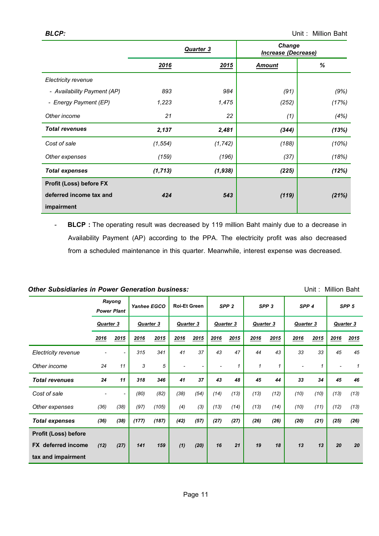|                             | <b>Quarter 3</b> |             | <b>Change</b><br>Increase (Decrease) |       |
|-----------------------------|------------------|-------------|--------------------------------------|-------|
|                             | 2016             | <u>2015</u> | <b>Amount</b>                        | %     |
| Electricity revenue         |                  |             |                                      |       |
| - Availability Payment (AP) | 893              | 984         | (91)                                 | (9%)  |
| - Energy Payment (EP)       | 1,223            | 1,475       | (252)                                | (17%) |
| Other income                | 21               | 22          | (1)                                  | (4%)  |
| <b>Total revenues</b>       | 2,137            | 2,481       | (344)                                | (13%) |
| Cost of sale                | (1, 554)         | (1, 742)    | (188)                                | (10%) |
| Other expenses              | (159)            | (196)       | (37)                                 | (18%) |
| <b>Total expenses</b>       | (1, 713)         | (1,938)     | (225)                                | (12%) |
| Profit (Loss) before FX     |                  |             |                                      |       |
| deferred income tax and     | 424              | 543         | (119)                                | (21%) |
| impairment                  |                  |             |                                      |       |

*-* **BLCP :** The operating result was decreased by 119 million Baht mainly due to a decrease in Availability Payment (AP) according to the PPA. The electricity profit was also decreased from a scheduled maintenance in this quarter. Meanwhile, interest expense was decreased.

# **Other Subsidiaries in Power Generation business: Discussed Containers** Unit : Million Baht

|                             | Rayong<br><b>Power Plant</b> |      | Yanhee EGCO      |       | <b>Roi-Et Green</b> |      | SPP <sub>2</sub> |      | SPP <sub>3</sub> |      | SPP <sub>4</sub>         |      | SPP <sub>5</sub>         |              |
|-----------------------------|------------------------------|------|------------------|-------|---------------------|------|------------------|------|------------------|------|--------------------------|------|--------------------------|--------------|
|                             | <b>Quarter 3</b>             |      | <b>Quarter 3</b> |       | Quarter 3           |      | <b>Quarter 3</b> |      | Quarter 3        |      | Quarter 3                |      | <b>Quarter 3</b>         |              |
|                             | 2016                         | 2015 | 2016             | 2015  | 2016                | 2015 | 2016             | 2015 | 2016             | 2015 | 2016                     | 2015 | 2016                     | 2015         |
| Electricity revenue         |                              |      | 315              | 341   | 41                  | 37   | 43               | 47   | 44               | 43   | 33                       | 33   | 45                       | 45           |
| Other income                | 24                           | 11   | 3                | 5     |                     |      |                  | 1    | $\mathcal I$     | 1    | $\overline{\phantom{a}}$ | 1    | $\overline{\phantom{a}}$ | $\mathcal I$ |
| <b>Total revenues</b>       | 24                           | 11   | 318              | 346   | 41                  | 37   | 43               | 48   | 45               | 44   | 33                       | 34   | 45                       | 46           |
| Cost of sale                |                              |      | (80)             | (82)  | (38)                | (54) | (14)             | (13) | (13)             | (12) | (10)                     | (10) | (13)                     | (13)         |
| Other expenses              | (36)                         | (38) | (97)             | (105) | (4)                 | (3)  | (13)             | (14) | (13)             | (14) | (10)                     | (11) | (12)                     | (13)         |
| <b>Total expenses</b>       | (36)                         | (38) | (177)            | (187) | (42)                | (57) | (27)             | (27) | (26)             | (26) | (20)                     | (21) | (25)                     | (26)         |
| <b>Profit (Loss) before</b> |                              |      |                  |       |                     |      |                  |      |                  |      |                          |      |                          |              |
| <b>FX</b> deferred income   | (12)                         | (27) | 141              | 159   | (1)                 | (20) | 16               | 21   | 19               | 18   | 13                       | 13   | 20                       | 20           |
| tax and impairment          |                              |      |                  |       |                     |      |                  |      |                  |      |                          |      |                          |              |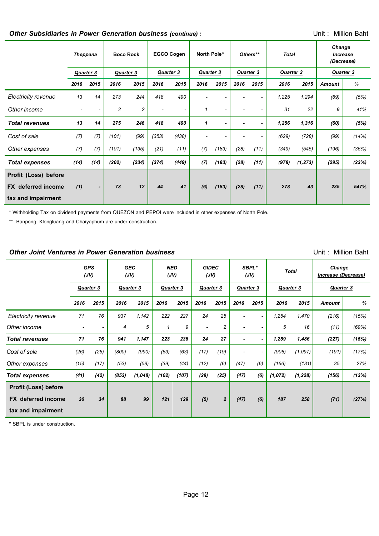# *Other Subsidiaries in Power Generation business (continue) :* Unit : Million Baht

|                           | <b>Theppana</b>          |                | <b>Boco Rock</b> |                         | <b>EGCO Cogen</b>        |                          | North Pole*  |       | Others**  |      | <b>Total</b> |          | Change<br><i><b>Increase</b></i><br>(Decrease) |       |
|---------------------------|--------------------------|----------------|------------------|-------------------------|--------------------------|--------------------------|--------------|-------|-----------|------|--------------|----------|------------------------------------------------|-------|
|                           | <b>Quarter 3</b>         |                | <b>Quarter 3</b> |                         | Quarter 3                |                          | Quarter 3    |       | Quarter 3 |      | Quarter 3    |          | Quarter 3                                      |       |
|                           | 2016                     | 2015           | 2016             | 2015                    | 2016                     | 2015                     | 2016         | 2015  | 2016      | 2015 | 2016         | 2015     | Amount                                         | %     |
| Electricity revenue       | 13                       | 14             | 273              | 244                     | 418                      | 490                      |              |       |           |      | 1,225        | 1,294    | (69)                                           | (5%)  |
| Other income              | $\overline{\phantom{a}}$ |                | $\overline{c}$   | $\overline{\mathbf{c}}$ | $\overline{\phantom{a}}$ | $\overline{\phantom{a}}$ | 1            |       |           |      | 31           | 22       | 9                                              | 41%   |
| <b>Total revenues</b>     | 13                       | 14             | 275              | 246                     | 418                      | 490                      | $\mathbf{1}$ |       |           |      | 1,256        | 1,316    | (60)                                           | (5%)  |
| Cost of sale              | (7)                      | (7)            | (101)            | (99)                    | (353)                    | (438)                    |              |       |           |      | (629)        | (728)    | (99)                                           | (14%) |
| Other expenses            | (7)                      | (7)            | (101)            | (135)                   | (21)                     | (11)                     | (7)          | (183) | (28)      | (11) | (349)        | (545)    | (196)                                          | (36%) |
| <b>Total expenses</b>     | (14)                     | (14)           | (202)            | (234)                   | (374)                    | (449)                    | (7)          | (183) | (28)      | (11) | (978)        | (1, 273) | (295)                                          | (23%) |
| Profit (Loss) before      |                          |                |                  |                         |                          |                          |              |       |           |      |              |          |                                                |       |
| <b>FX</b> deferred income | (1)                      | $\blacksquare$ | 73               | 12                      | 44                       | 41                       | (6)          | (183) | (28)      | (11) | 278          | 43       | 235                                            | 547%  |
| tax and impairment        |                          |                |                  |                         |                          |                          |              |       |           |      |              |          |                                                |       |

\* Withholding Tax on dividend payments from QUEZON and PEPOI were included in other expenses of North Pole.

\*\* Banpong, Klongluang and Chaiyaphum are under construction.

#### **Other Joint Ventures in Power Generation business 1988 1998 1998 1998 1999 1999 1999 1999 1999 1999 1999 1999 1999 1999 1999 1999 1999 1999 1999 1999 1999 1999 1999 1999 1**

|                             |                          | <b>GPS</b><br>(JV) |           |         |           | <b>GEC</b><br>(JV) |                          | <b>NED</b><br>(JV) |                  | <b>GIDEC</b><br>(JV) |                  | SBPL*<br>(JV) |           | <b>Total</b> |  | Change<br>Increase (Decrease) |  |
|-----------------------------|--------------------------|--------------------|-----------|---------|-----------|--------------------|--------------------------|--------------------|------------------|----------------------|------------------|---------------|-----------|--------------|--|-------------------------------|--|
|                             | Quarter 3                |                    | Quarter 3 |         | Quarter 3 |                    | Quarter 3                |                    | <b>Quarter 3</b> |                      | <b>Quarter 3</b> |               | Quarter 3 |              |  |                               |  |
|                             | <u>2016</u>              | 2015               | 2016      | 2015    | 2016      | 2015               | 2016                     | 2015               | 2016             | 2015                 | 2016             | <u>2015</u>   | Amount    | %            |  |                               |  |
| Electricity revenue         | 71                       | 76                 | 937       | 1,142   | 222       | 227                | 24                       | 25                 |                  |                      | 1,254            | 1,470         | (216)     | (15%)        |  |                               |  |
| Other income                | $\overline{\phantom{a}}$ | ۰                  | 4         | 5       | 1         | 9                  | $\overline{\phantom{a}}$ | 2                  |                  |                      | 5                | 16            | (11)      | (69%)        |  |                               |  |
| <b>Total revenues</b>       | 71                       | 76                 | 941       | 1,147   | 223       | 236                | 24                       | 27                 |                  |                      | 1,259            | 1,486         | (227)     | (15%)        |  |                               |  |
| Cost of sale                | (26)                     | (25)               | (800)     | (990)   | (63)      | (63)               | (17)                     | (19)               |                  |                      | (906)            | (1,097)       | (191)     | (17%)        |  |                               |  |
| Other expenses              | (15)                     | (17)               | (53)      | (58)    | (39)      | (44)               | (12)                     | (6)                | (47)             | (6)                  | (166)            | (131)         | 35        | 27%          |  |                               |  |
| Total expenses              | (41)                     | (42)               | (853)     | (1,048) | (102)     | (107)              | (29)                     | (25)               | (47)             | (6)                  | (1,072)          | (1, 228)      | (156)     | (13%)        |  |                               |  |
| <b>Profit (Loss) before</b> |                          |                    |           |         |           |                    |                          |                    |                  |                      |                  |               |           |              |  |                               |  |
| <b>FX</b> deferred income   | 30                       | 34                 | 88        | 99      | 121       | 129                | (5)                      | $\overline{2}$     | (47)             | (6)                  | 187              | 258           | (71)      | (27%)        |  |                               |  |
| tax and impairment          |                          |                    |           |         |           |                    |                          |                    |                  |                      |                  |               |           |              |  |                               |  |

\* SBPL is under construction.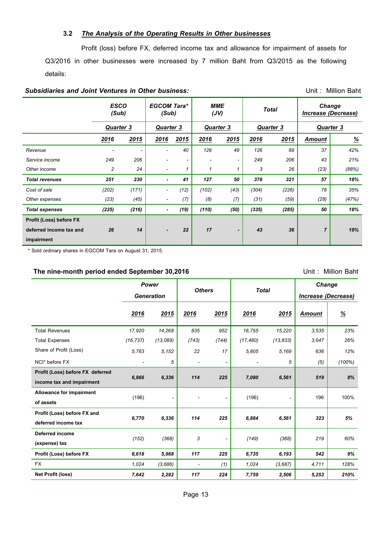### **3.2** *The Analysis of the Operating Results in Other businesses*

 Profit (loss) before FX, deferred income tax and allowance for impairment of assets for Q3/2016 in other businesses were increased by 7 million Baht from Q3/2015 as the following details:

#### *Subsidiaries and Joint Ventures in Other business:* Unit : Million Baht

|                                | <b>ESCO</b><br>(Sub) |                          | <b>EGCOM Tara*</b><br>(Sub) |                          | <b>MME</b><br>(JV) |      |                  | <b>Total</b> | <b>Change</b><br>Increase (Decrease) |                           |  |
|--------------------------------|----------------------|--------------------------|-----------------------------|--------------------------|--------------------|------|------------------|--------------|--------------------------------------|---------------------------|--|
|                                | <b>Quarter 3</b>     |                          | <b>Quarter 3</b>            |                          | <b>Quarter 3</b>   |      | <b>Quarter 3</b> |              | <b>Quarter 3</b>                     |                           |  |
|                                | 2016                 | 2015                     | 2016                        | 2015                     | 2016               | 2015 | 2016             | 2015         | <b>Amount</b>                        | $\underline{\mathcal{H}}$ |  |
| Revenue                        |                      | $\overline{\phantom{0}}$ |                             | 40                       | 126                | 49   | 126              | 89           | 37                                   | 42%                       |  |
| Service income                 | 249                  | 206                      |                             | $\overline{\phantom{a}}$ |                    |      | 249              | 206          | 43                                   | 21%                       |  |
| Other income                   | 2                    | 24                       |                             |                          | 1                  | 1    | 3                | 26           | (23)                                 | (88%)                     |  |
| <b>Total revenues</b>          | 251                  | 230                      | ٠                           | 41                       | 127                | 50   | 378              | 321          | 57                                   | 18%                       |  |
| Cost of sale                   | (202)                | (171)                    |                             | (12)                     | (102)              | (43) | (304)            | (226)        | 78                                   | 35%                       |  |
| Other expenses                 | (23)                 | (45)                     |                             | (7)                      | (8)                | (7)  | (31)             | (59)         | (28)                                 | (47%)                     |  |
| <b>Total expenses</b>          | (225)                | (216)                    | ٠                           | (19)                     | (110)              | (50) | (335)            | (285)        | 50                                   | 18%                       |  |
| <b>Profit (Loss) before FX</b> |                      |                          |                             |                          |                    |      |                  |              |                                      |                           |  |
| deferred income tax and        | 26                   | 14                       |                             | 22                       | 17                 |      | 43               | 36           | $\overline{7}$                       | 19%                       |  |
| impairment                     |                      |                          |                             |                          |                    |      |                  |              |                                      |                           |  |

\* Sold ordinary shares in EGCOM Tara on August 31, 2015.

#### **The nine-month period ended September 30,2016** Unit: Million Baht

*Power Generation Others Total Change Increase (Decrease) 2016 2015 2016 2015 2016 2015 Amount %* Total Revenues *17,920 14,268 835 952 18,755 15,220 3,535 23%* Total Expenses *(16,737) (13,089) (743) (744) (17,480) (13,833) 3,647 26%* Share of Profit (Loss) *5,783 5,152 22 17 5,805 5,169 636 12%* NCI\* before FX *- 5 - - - 5 (5) (100%)* **Profit (Loss) before FX deferred income tax and impairment**  *6,966 6,336 114 225 7,080 6,561 519 8%* **Allowance for impairment of assets** (196) *-* - *-* (196) *-* 196 100% **Profit (Loss) before FX and deferred income tax** *6,770 6,336 114 225 6,884 6,561 323 5%* **Deferred income (expense) tax** *(152) (368) 3 - (149) (368) 219 60%* **Profit (Loss) before FX** *6,618 5,968 117 225 6,735 6,193 542 9%* FX *1,024 (3,686) - (1) 1,024 (3,687) 4,711 128%* **Net Profit (loss)** *7,642 2,282 117 224 7,759 2,506 5,253 210%*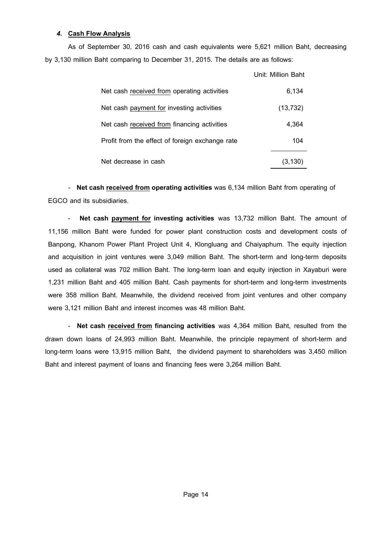## *4.* **Cash Flow Analysis**

As of September 30, 2016 cash and cash equivalents were 5,621 million Baht, decreasing by 3,130 million Baht comparing to December 31, 2015. The details are as follows:

|                                                 | Unit: Million Baht |
|-------------------------------------------------|--------------------|
| Net cash received from operating activities     | 6,134              |
| Net cash payment for investing activities       | (13, 732)          |
| Net cash received from financing activities     | 4,364              |
| Profit from the effect of foreign exchange rate | 104                |
| Net decrease in cash                            | (3,130             |

*-* **Net cash received from operating activities** was 6,134 million Baht from operating of EGCO and its subsidiaries.

- **Net cash payment for investing activities** was 13,732 million Baht. The amount of 11,156 million Baht were funded for power plant construction costs and development costs of Banpong, Khanom Power Plant Project Unit 4, Klongluang and Chaiyaphum. The equity injection and acquisition in joint ventures were 3,049 million Baht. The short-term and long-term deposits used as collateral was 702 million Baht. The long-term loan and equity injection in Xayaburi were 1,231 million Baht and 405 million Baht. Cash payments for short-term and long-term investments were 358 million Baht. Meanwhile, the dividend received from joint ventures and other company were 3,121 million Baht and interest incomes was 48 million Baht.

- **Net cash received from financing activities** was 4,364 million Baht, resulted from the drawn down loans of 24,993 million Baht. Meanwhile, the principle repayment of short-term and long-term loans were 13,915 million Baht, the dividend payment to shareholders was 3,450 million Baht and interest payment of loans and financing fees were 3,264 million Baht.